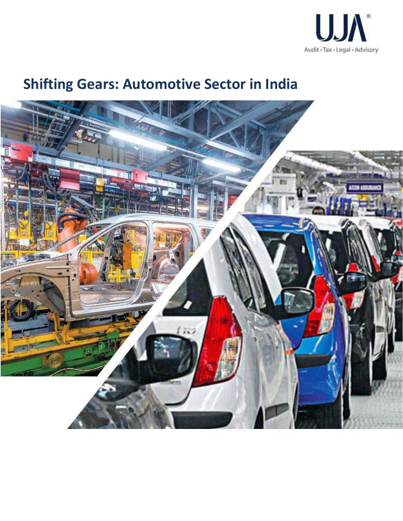

# **Shifting Gears: Automotive Sector in India**

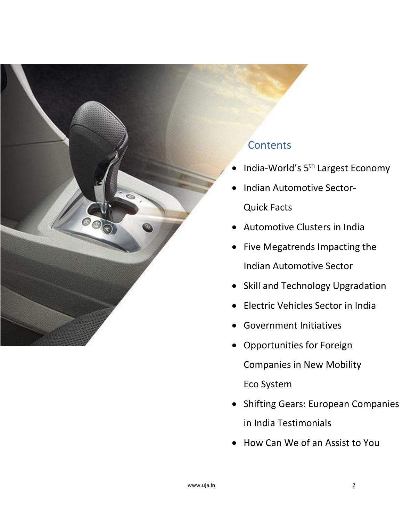

Eco System

in India Testimonials

• Shifting Gears: European Companies

• How Can We of an Assist to You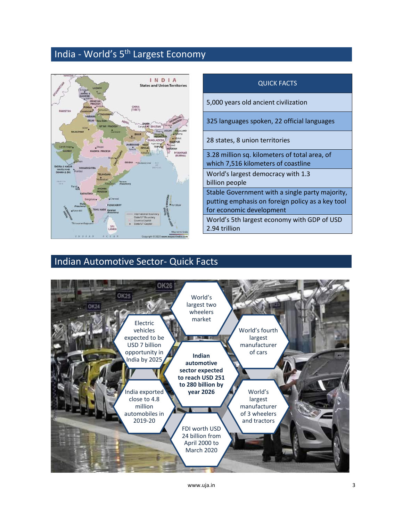### India - World's 5th Largest Economy



| <b>QUICK FACTS</b>                                                                                                              |
|---------------------------------------------------------------------------------------------------------------------------------|
| 5,000 years old ancient civilization                                                                                            |
| 325 languages spoken, 22 official languages                                                                                     |
| 28 states, 8 union territories                                                                                                  |
| 3.28 million sq. kilometers of total area, of<br>which 7,516 kilometers of coastline                                            |
| World's largest democracy with 1.3<br>billion people                                                                            |
| Stable Government with a single party majority,<br>putting emphasis on foreign policy as a key tool<br>for economic development |
| World's 5th largest economy with GDP of USD<br>2.94 trillion                                                                    |

### Indian Automotive Sector- Quick Facts



www.uja.in 3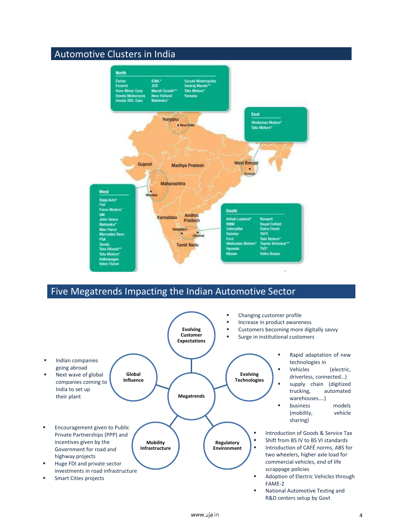### Automotive Clusters in India



### Five Megatrends Impacting the Indian Automotive Sector

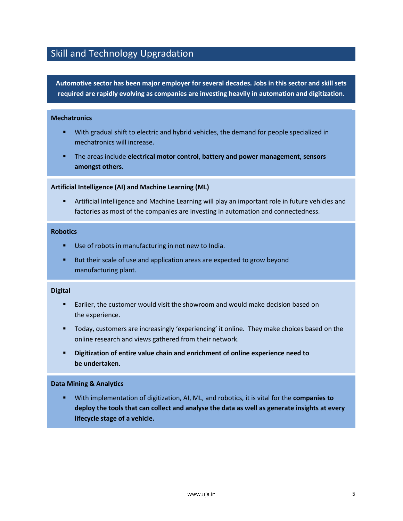### Skill and Technology Upgradation

**Automotive sector has been major employer for several decades. Jobs in this sector and skill sets required are rapidly evolving as companies are investing heavily in automation and digitization.**

#### **Mechatronics**

- With gradual shift to electric and hybrid vehicles, the demand for people specialized in mechatronics will increase.
- **EXECT** The areas include **electrical motor control, battery and power management, sensors amongst others.**

#### **Artificial Intelligence (AI) and Machine Learning (ML)**

**■** Artificial Intelligence and Machine Learning will play an important role in future vehicles and factories as most of the companies are investing in automation and connectedness.

#### **Robotics**

- Use of robots in manufacturing in not new to India.
- But their scale of use and application areas are expected to grow beyond manufacturing plant.

#### **Digital**

- Earlier, the customer would visit the showroom and would make decision based on the experience.
- Today, customers are increasingly 'experiencing' it online. They make choices based on the online research and views gathered from their network.
- **Digitization of entire value chain and enrichment of online experience need to be undertaken.**

#### **Data Mining & Analytics**

With implementation of digitization, AI, ML, and robotics, it is vital for the **companies to deploy the tools that can collect and analyse the data as well as generate insights at every lifecycle stage of a vehicle.**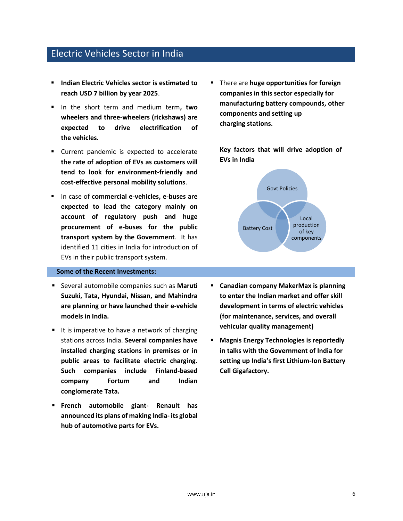#### Electric Vehicles Sector in India

- **Indian Electric Vehicles sector is estimated to reach USD 7 billion by year 2025**.
- In the short term and medium term**, two wheelers and three-wheelers (rickshaws) are expected to drive electrification of the vehicles.**
- Current pandemic is expected to accelerate **the rate of adoption of EVs as customers will tend to look for environment-friendly and cost-effective personal mobility solutions**.
- In case of **commercial e-vehicles, e-buses are expected to lead the category mainly on account of regulatory push and huge procurement of e-buses for the public transport system by the Government**. It has identified 11 cities in India for introduction of EVs in their public transport system.

#### **Some of the Recent Investments:**

- Several automobile companies such as **Maruti Suzuki, Tata, Hyundai, Nissan, and Mahindra are planning or have launched their e-vehicle models in India.**
- It is imperative to have a network of charging stations across India. **Several companies have installed charging stations in premises or in public areas to facilitate electric charging. Such companies include Finland-based company Fortum and Indian conglomerate Tata.**
- **French automobile giant- Renault has announced its plans of making India- its global hub of automotive parts for EVs.**

▪ There are **huge opportunities for foreign companies in this sector especially for manufacturing battery compounds, other components and setting up charging stations.**

**Key factors that will drive adoption of EVs in India** 



- **Canadian company MakerMax is planning to enter the Indian market and offer skill development in terms of electric vehicles (for maintenance, services, and overall vehicular quality management)**
- **Magnis Energy Technologies is reportedly in talks with the Government of India for setting up India's first Lithium-Ion Battery Cell Gigafactory.**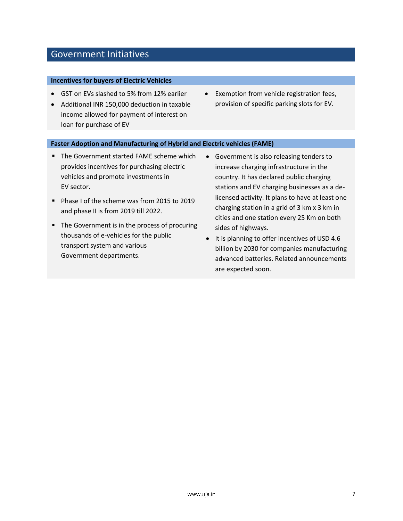### Government Initiatives

#### **Incentives for buyers of Electric Vehicles**

- GST on EVs slashed to 5% from 12% earlier
- Additional INR 150,000 deduction in taxable income allowed for payment of interest on loan for purchase of EV
- Exemption from vehicle registration fees, provision of specific parking slots for EV.

#### **Faster Adoption and Manufacturing of Hybrid and Electric vehicles (FAME)**

- The Government started FAME scheme which provides incentives for purchasing electric vehicles and promote investments in EV sector.
- Phase I of the scheme was from 2015 to 2019 and phase II is from 2019 till 2022.
- The Government is in the process of procuring thousands of e-vehicles for the public transport system and various Government departments.
- Government is also releasing tenders to increase charging infrastructure in the country. It has declared public charging stations and EV charging businesses as a delicensed activity. It plans to have at least one charging station in a grid of 3 km x 3 km in cities and one station every 25 Km on both sides of highways.
- It is planning to offer incentives of USD 4.6 billion by 2030 for companies manufacturing advanced batteries. Related announcements are expected soon.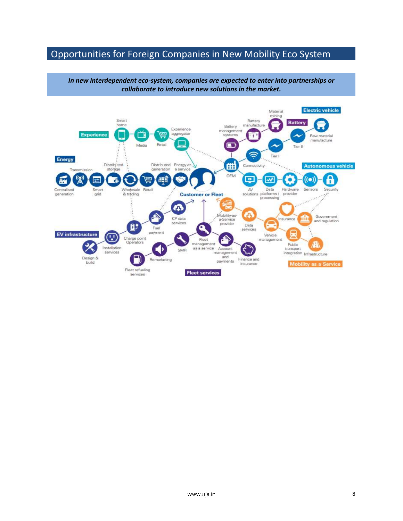### Opportunities for Foreign Companies in New Mobility Eco System

*In new interdependent eco-system, companies are expected to enter into partnerships or collaborate to introduce new solutions in the market.*

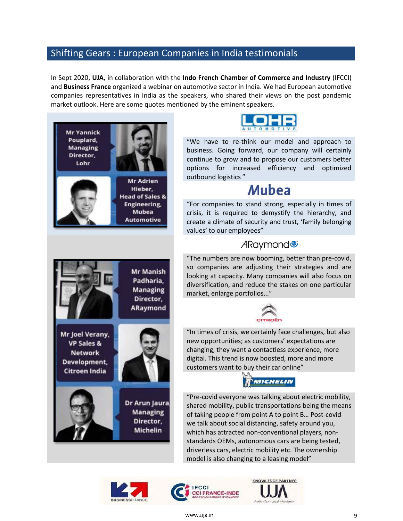### Shifting Gears : European Companies in India testimonials

In Sept 2020, **UJA**, in collaboration with the **Indo French Chamber of Commerce and Industry** (IFCCI) and **Business France** organized a webinar on automotive sector in India. We had European automotive companies representatives in India as the speakers, who shared their views on the post pandemic market outlook. Here are some quotes mentioned by the eminent speakers.





"We have to re-think our model and approach to business. Going forward, our company will certainly continue to grow and to propose our customers better options for increased efficiency and optimized outbound logistics "

# Mubea

"For companies to stand strong, especially in times of crisis, it is required to demystify the hierarchy, and create a climate of security and trust, 'family belonging values' to our employees"

### ARaymond<sup>®</sup>

"The numbers are now booming, better than pre-covid, so companies are adjusting their strategies and are looking at capacity. Many companies will also focus on diversification, and reduce the stakes on one particular market, enlarge portfolios..."



"In times of crisis, we certainly face challenges, but also new opportunities; as customers' expectations are changing, they want a contactless experience, more digital. This trend is now boosted, more and more customers want to buy their car online"



"Pre-covid everyone was talking about electric mobility, shared mobility, public transportations being the means of taking people from point A to point B… Post-covid we talk about social distancing, safety around you, which has attracted non-conventional players, nonstandards OEMs, autonomous cars are being tested, driverless cars, electric mobility etc. The ownership model is also changing to a leasing model"